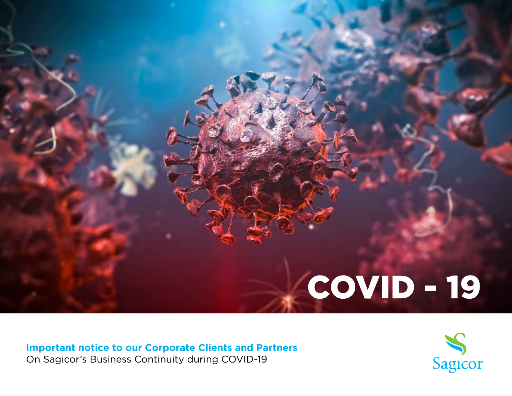

**Important notice to our Corporate Clients and Partners** On Sagicor's Business Continuity during COVID-19

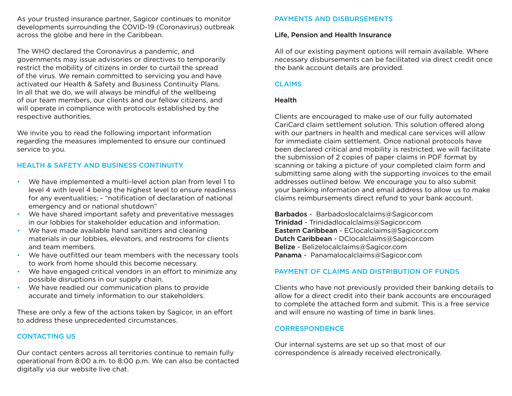As your trusted insurance partner, Sagicor continues to monitor developments surrounding the COVID-19 (Coronavirus) outbreak across the globe and here in the Caribbean.

The WHO declared the Coronavirus a pandemic, and governments may issue advisories or directives to temporarily restrict the mobility of citizens in order to curtail the spread of the virus. We remain committed to servicing you and have activated our Health & Safety and Business Continuity Plans. In all that we do, we will always be mindful of the wellbeing of our team members, our clients and our fellow citizens, and will operate in compliance with protocols established by the respective authorities.

We invite you to read the following important information regarding the measures implemented to ensure our continued service to you.

# HEALTH & SAFETY AND BUSINESS CONTINUITY

- We have implemented a multi-level action plan from level 1 to level 4 with level 4 being the highest level to ensure readiness for any eventualities; - "notification of declaration of national emergency and or national shutdown"
- We have shared important safety and preventative messages in our lobbies for stakeholder education and information.
- We have made available hand sanitizers and cleaning materials in our lobbies, elevators, and restrooms for clients and team members.
- We have outfitted our team members with the necessary tools to work from home should this become necessary.
- We have engaged critical vendors in an effort to minimize any possible disruptions in our supply chain.
- We have readied our communication plans to provide accurate and timely information to our stakeholders.

These are only a few of the actions taken by Sagicor, in an effort to address these unprecedented circumstances.

## CONTACTING US

Our contact centers across all territories continue to remain fully operational from 8:00 a.m. to 8:00 p.m. We can also be contacted digitally via our website live chat.

## PAYMENTS AND DISBURSEMENTS

#### Life, Pension and Health Insurance

All of our existing payment options will remain available. Where necessary disbursements can be facilitated via direct credit once the bank account details are provided.

#### **CLAIMS**

#### Health

Clients are encouraged to make use of our fully automated CariCard claim settlement solution. This solution offered along with our partners in health and medical care services will allow for immediate claim settlement. Once national protocols have been declared critical and mobility is restricted, we will facilitate the submission of 2 copies of paper claims in PDF format by scanning or taking a picture of your completed claim form and submitting same along with the supporting invoices to the email addresses outlined below. We encourage you to also submit your banking information and email address to allow us to make claims reimbursements direct refund to your bank account.

Barbados - Barbadoslocalclaims@Sagicor.com Trinidad - Trinidadlocalclaims@Sagicor.com Eastern Caribbean - EClocalclaims@Sagicor.com Dutch Caribbean - DClocalclaims@Sagicor.com Belize - Belizelocalclaims@Sagicor.com Panama - Panamalocalclaims@Sagicor.com

#### PAYMENT OF CLAIMS AND DISTRIBUTION OF FUNDS

Clients who have not previously provided their banking details to allow for a direct credit into their bank accounts are encouraged to complete the attached form and submit. This is a free service and will ensure no wasting of time in bank lines.

#### CORRESPONDENCE

Our internal systems are set up so that most of our correspondence is already received electronically.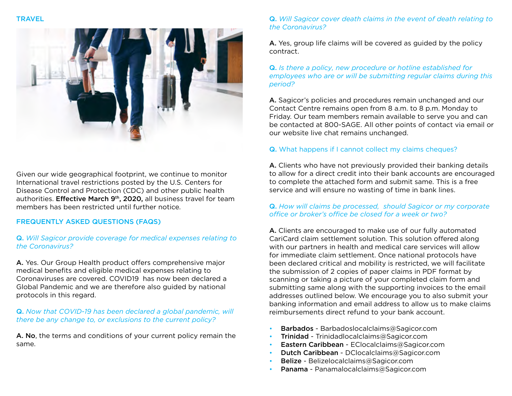

Given our wide geographical footprint, we continue to monitor International travel restrictions posted by the U.S. Centers for Disease Control and Protection (CDC) and other public health authorities. Effective March 9<sup>th</sup>, 2020, all business travel for team members has been restricted until further notice.

## FREQUENTLY ASKED QUESTIONS (FAQS)

## Q. *Will Sagicor provide coverage for medical expenses relating to the Coronavirus?*

A. Yes. Our Group Health product offers comprehensive major medical benefits and eligible medical expenses relating to Coronaviruses are covered. COVID19 has now been declared a Global Pandemic and we are therefore also guided by national protocols in this regard.

## Q. *Now that COVID-19 has been declared a global pandemic, will there be any change to, or exclusions to the current policy?*

A. No, the terms and conditions of your current policy remain the same.

# Q. *Will Sagicor cover death claims in the event of death relating to the Coronavirus?*

A. Yes, group life claims will be covered as guided by the policy contract.

## Q. *Is there a policy, new procedure or hotline established for employees who are or will be submitting regular claims during this period?*

A. Sagicor's policies and procedures remain unchanged and our Contact Centre remains open from 8 a.m. to 8 p.m. Monday to Friday. Our team members remain available to serve you and can be contacted at 800-SAGE. All other points of contact via email or our website live chat remains unchanged.

# Q. What happens if I cannot collect my claims cheques?

A. Clients who have not previously provided their banking details to allow for a direct credit into their bank accounts are encouraged to complete the attached form and submit same. This is a free service and will ensure no wasting of time in bank lines.

## Q. *How will claims be processed, should Sagicor or my corporate office or broker's office be closed for a week or two?*

A. Clients are encouraged to make use of our fully automated CariCard claim settlement solution. This solution offered along with our partners in health and medical care services will allow for immediate claim settlement. Once national protocols have been declared critical and mobility is restricted, we will facilitate the submission of 2 copies of paper claims in PDF format by scanning or taking a picture of your completed claim form and submitting same along with the supporting invoices to the email addresses outlined below. We encourage you to also submit your banking information and email address to allow us to make claims reimbursements direct refund to your bank account.

- Barbados Barbadoslocalclaims@Sagicor.com
- Trinidad Trinidadlocalclaims@Sagicor.com
- Eastern Caribbean EClocalclaims@Sagicor.com
- Dutch Caribbean DClocalclaims@Sagicor.com
- Belize Belizelocalclaims@Sagicor.com
- Panama Panamalocalclaims@Sagicor.com